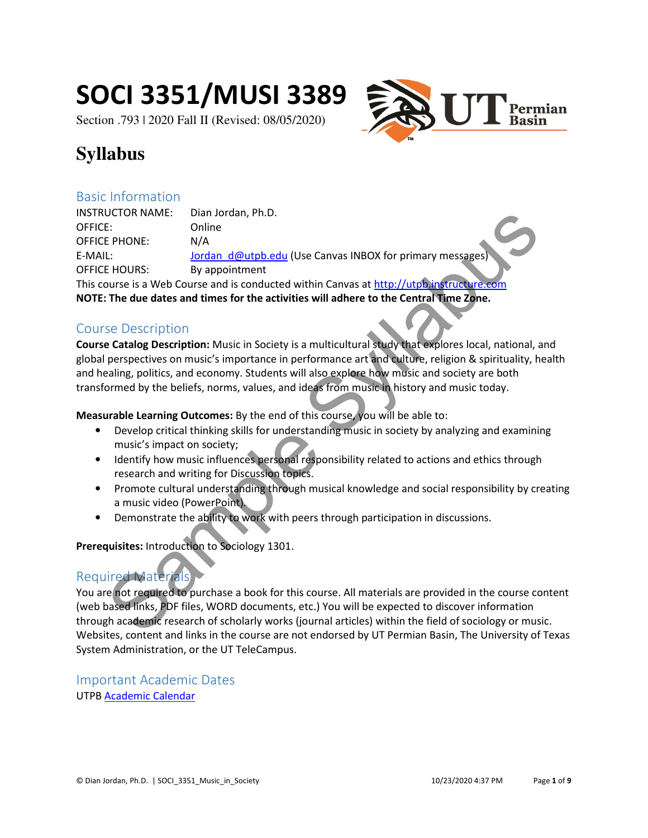# SOCI 3351/MUSI 3389

Section .793 | 2020 Fall II (Revised: 08/05/2020)



# **Syllabus**

## Basic Information

INSTRUCTOR NAME: Dian Jordan, Ph.D. OFFICE: Online OFFICE PHONE: N/A E-MAIL: Jordan\_d@utpb.edu (Use Canvas INBOX for primary messages OFFICE HOURS: By appointment This course is a Web Course and is conducted within Canvas at http://utpb.instructure.com NOTE: The due dates and times for the activities will adhere to the Central Time Zone. UCTOR NAME:<br>
Data Donline<br>
E: Data distributed (Use Canvas INBOX for primary messages)<br>
L:<br>
L: Donline<br>
HOURS: By appointment<br>
The due dates and times for the activities will adhere to the Central Time Zyne.<br>
See Descripti

# Course Description

Course Catalog Description: Music in Society is a multicultural study that explores local, national, and global perspectives on music's importance in performance art and culture, religion & spirituality, health and healing, politics, and economy. Students will also explore how music and society are both transformed by the beliefs, norms, values, and ideas from music in history and music today.

Measurable Learning Outcomes: By the end of this course, you will be able to:

- Develop critical thinking skills for understanding music in society by analyzing and examining music's impact on society;
- Identify how music influences personal responsibility related to actions and ethics through research and writing for Discussion topics.
- Promote cultural understanding through musical knowledge and social responsibility by creating a music video (PowerPoint).
- Demonstrate the ability to work with peers through participation in discussions.

Prerequisites: Introduction to Sociology 1301.

# Required Materials

You are not required to purchase a book for this course. All materials are provided in the course content (web based links, PDF files, WORD documents, etc.) You will be expected to discover information through academic research of scholarly works (journal articles) within the field of sociology or music. Websites, content and links in the course are not endorsed by UT Permian Basin, The University of Texas System Administration, or the UT TeleCampus.

Important Academic Dates UTPB Academic Calendar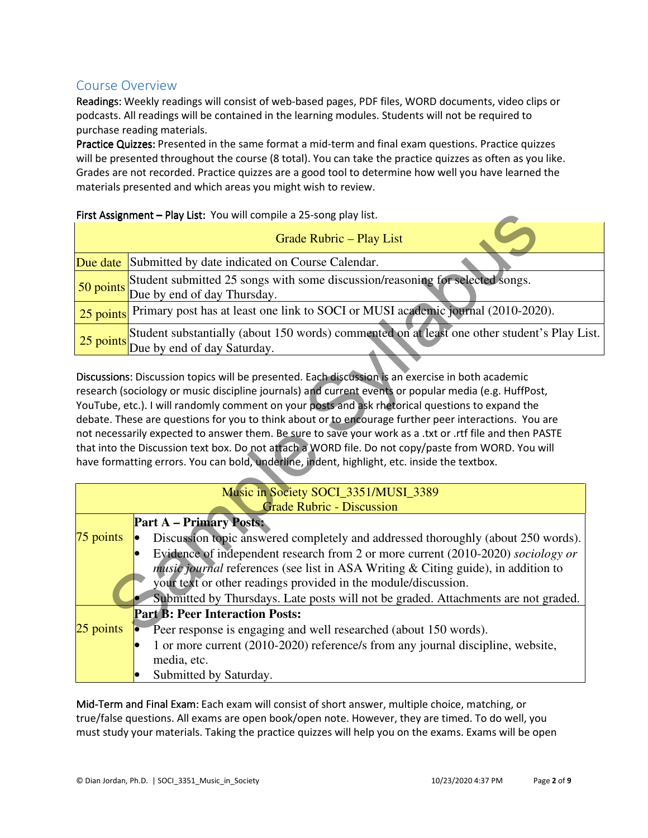# Course Overview

Readings: Weekly readings will consist of web-based pages, PDF files, WORD documents, video clips or podcasts. All readings will be contained in the learning modules. Students will not be required to purchase reading materials.

Practice Quizzes: Presented in the same format a mid-term and final exam questions. Practice quizzes will be presented throughout the course (8 total). You can take the practice quizzes as often as you like. Grades are not recorded. Practice quizzes are a good tool to determine how well you have learned the materials presented and which areas you might wish to review.

#### First Assignment - Play List: You will compile a 25-song play list.

| <b>Grade Rubric – Play List</b> |                                                                                                                                  |  |
|---------------------------------|----------------------------------------------------------------------------------------------------------------------------------|--|
|                                 | <b>Due date</b> Submitted by date indicated on Course Calendar.                                                                  |  |
|                                 | 50 points Student submitted 25 songs with some discussion/reasoning for selected songs.<br>50 points Due by end of day Thursday. |  |
|                                 | 25 points Primary post has at least one link to SOCI or MUSI academic journal (2010-2020).                                       |  |
|                                 | 25 points Student substantially (about 150 words) commented on at least one other student's Play List.                           |  |

|                                                                          | First Assignment - Play List: You will compile a 25-song play list.                                                                                                                                                                                                                                                                                                                                                                                                                                                                                                                                                                                                                                                                        |  |  |
|--------------------------------------------------------------------------|--------------------------------------------------------------------------------------------------------------------------------------------------------------------------------------------------------------------------------------------------------------------------------------------------------------------------------------------------------------------------------------------------------------------------------------------------------------------------------------------------------------------------------------------------------------------------------------------------------------------------------------------------------------------------------------------------------------------------------------------|--|--|
|                                                                          | <b>Grade Rubric - Play List</b>                                                                                                                                                                                                                                                                                                                                                                                                                                                                                                                                                                                                                                                                                                            |  |  |
| Due date                                                                 | Submitted by date indicated on Course Calendar.                                                                                                                                                                                                                                                                                                                                                                                                                                                                                                                                                                                                                                                                                            |  |  |
| 50 points                                                                | Student submitted 25 songs with some discussion/reasoning for selected songs.<br>Due by end of day Thursday.                                                                                                                                                                                                                                                                                                                                                                                                                                                                                                                                                                                                                               |  |  |
|                                                                          | 25 points Primary post has at least one link to SOCI or MUSI academic journal (2010-2020).                                                                                                                                                                                                                                                                                                                                                                                                                                                                                                                                                                                                                                                 |  |  |
| 25 points                                                                | Student substantially (about 150 words) commented on at least one other student's Play L<br>Due by end of day Saturday.                                                                                                                                                                                                                                                                                                                                                                                                                                                                                                                                                                                                                    |  |  |
|                                                                          | Discussions: Discussion topics will be presented. Each discussion is an exercise in both academic<br>research (sociology or music discipline journals) and current events or popular media (e.g. HuffPost,<br>YouTube, etc.). I will randomly comment on your posts and ask rhetorical questions to expand the<br>debate. These are questions for you to think about or to encourage further peer interactions. You are<br>not necessarily expected to answer them. Be sure to save your work as a .txt or .rtf file and then PASTE<br>that into the Discussion text box. Do not attach a WORD file. Do not copy/paste from WORD. You will<br>have formatting errors. You can bold, underline, indent, highlight, etc. inside the textbox. |  |  |
| Music in Society SOCI_3351/MUSI_3389<br><b>Grade Rubric - Discussion</b> |                                                                                                                                                                                                                                                                                                                                                                                                                                                                                                                                                                                                                                                                                                                                            |  |  |
| $75$ points                                                              | <b>Part A – Primary Posts:</b><br>Discussion topic answered completely and addressed thoroughly (about 250 words).<br>Evidence of independent research from 2 or more current (2010-2020) sociology or<br><i>music journal</i> references (see list in ASA Writing & Citing guide), in addition to<br>your text or other readings provided in the module/discussion.<br>Submitted by Thursdays. Late posts will not be graded. Attachments are not graded.                                                                                                                                                                                                                                                                                 |  |  |
| $25$ points                                                              | <b>Part B: Peer Interaction Posts:</b><br>Peer response is engaging and well researched (about 150 words).<br>1 or more current (2010-2020) reference/s from any journal discipline, website,<br>media, etc.<br>Submitted by Saturday.                                                                                                                                                                                                                                                                                                                                                                                                                                                                                                     |  |  |

Mid-Term and Final Exam: Each exam will consist of short answer, multiple choice, matching, or true/false questions. All exams are open book/open note. However, they are timed. To do well, you must study your materials. Taking the practice quizzes will help you on the exams. Exams will be open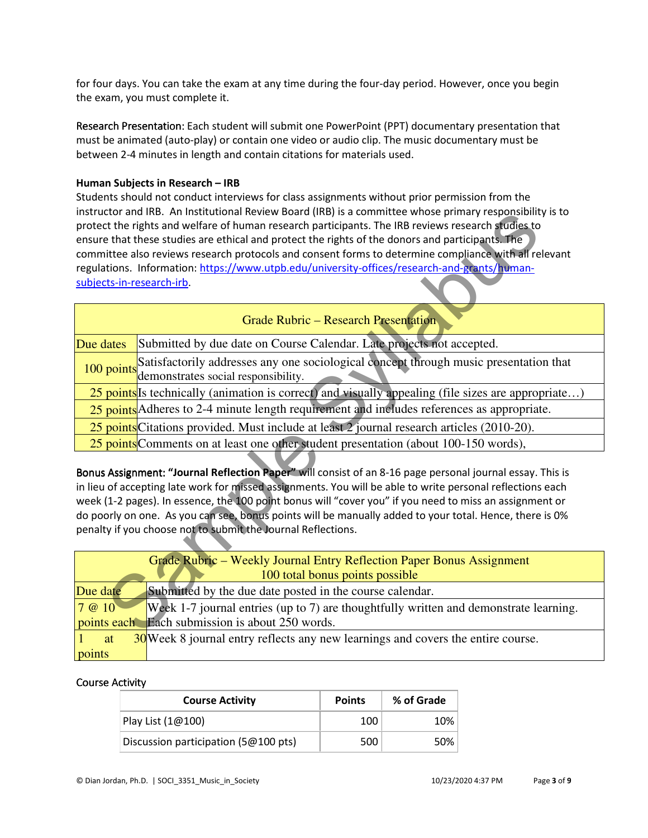for four days. You can take the exam at any time during the four-day period. However, once you begin the exam, you must complete it.

Research Presentation: Each student will submit one PowerPoint (PPT) documentary presentation that must be animated (auto-play) or contain one video or audio clip. The music documentary must be between 2-4 minutes in length and contain citations for materials used.

#### Human Subjects in Research – IRB

Students should not conduct interviews for class assignments without prior permission from the instructor and IRB. An Institutional Review Board (IRB) is a committee whose primary responsibility is to protect the rights and welfare of human research participants. The IRB reviews research studies to ensure that these studies are ethical and protect the rights of the donors and participants. The committee also reviews research protocols and consent forms to determine compliance with all relevant regulations. Information: https://www.utpb.edu/university-offices/research-and-grants/humansubjects-in-research-irb.

| instructor and likb. An institutional Review Board (IRB) is a committee whose primary responsibility is to<br>protect the rights and welfare of human research participants. The IRB reviews research studies to |                                                                                                                              |  |  |
|------------------------------------------------------------------------------------------------------------------------------------------------------------------------------------------------------------------|------------------------------------------------------------------------------------------------------------------------------|--|--|
|                                                                                                                                                                                                                  | ensure that these studies are ethical and protect the rights of the donors and participants. The                             |  |  |
|                                                                                                                                                                                                                  | committee also reviews research protocols and consent forms to determine compliance with all relevant                        |  |  |
|                                                                                                                                                                                                                  | regulations. Information: https://www.utpb.edu/university-offices/research-and-grants/human-                                 |  |  |
|                                                                                                                                                                                                                  | subjects-in-research-irb.                                                                                                    |  |  |
|                                                                                                                                                                                                                  | <b>Grade Rubric – Research Presentation</b>                                                                                  |  |  |
| Due dates                                                                                                                                                                                                        | Submitted by due date on Course Calendar. Late projects not accepted.                                                        |  |  |
| 100 points                                                                                                                                                                                                       | Satisfactorily addresses any one sociological concept through music presentation that<br>demonstrates social responsibility. |  |  |
|                                                                                                                                                                                                                  | 25 points Is technically (animation is correct) and visually appealing (file sizes are appropriate)                          |  |  |
|                                                                                                                                                                                                                  | 25 points Adheres to 2-4 minute length requirement and includes references as appropriate.                                   |  |  |
|                                                                                                                                                                                                                  | 25 points Citations provided. Must include at least 2 journal research articles (2010-20).                                   |  |  |
|                                                                                                                                                                                                                  | 25 points Comments on at least one other student presentation (about 100-150 words),                                         |  |  |
|                                                                                                                                                                                                                  |                                                                                                                              |  |  |
|                                                                                                                                                                                                                  | Bonus Assignment: "Journal Reflection Paper" will consist of an 8-16 page personal journal essay. This is                    |  |  |
| in lieu of accepting late work for missed assignments. You will be able to write personal reflections each                                                                                                       |                                                                                                                              |  |  |
|                                                                                                                                                                                                                  | week (1-2 pages). In essence, the 100 point bonus will "cover you" if you need to miss an assignment or                      |  |  |
|                                                                                                                                                                                                                  | do poorly on one. As you can see, bonus points will be manually added to your total. Hence, there is 0%                      |  |  |
| penalty if you choose not to submit the Journal Reflections.                                                                                                                                                     |                                                                                                                              |  |  |
|                                                                                                                                                                                                                  |                                                                                                                              |  |  |
|                                                                                                                                                                                                                  | Grade Rubric – Weekly Journal Entry Reflection Paper Bonus Assignment<br>100 total bonus points possible                     |  |  |
| Due date                                                                                                                                                                                                         | Submitted by the due date posted in the course calendar.                                                                     |  |  |
| 7 @ 10                                                                                                                                                                                                           | Week 1-7 journal entries (up to 7) are thoughtfully written and demonstrate learning.                                        |  |  |
| points each                                                                                                                                                                                                      | Each submission is about 250 words.                                                                                          |  |  |
|                                                                                                                                                                                                                  |                                                                                                                              |  |  |

| Grade Rubric – Weekly Journal Entry Reflection Paper Bonus Assignment<br>100 total bonus points possible |                                                                                       |  |  |
|----------------------------------------------------------------------------------------------------------|---------------------------------------------------------------------------------------|--|--|
| Due date                                                                                                 | Submitted by the due date posted in the course calendar.                              |  |  |
| 7 @ 10                                                                                                   | Week 1-7 journal entries (up to 7) are thoughtfully written and demonstrate learning. |  |  |
|                                                                                                          | points each Each submission is about 250 words.                                       |  |  |
| at                                                                                                       | 30 Week 8 journal entry reflects any new learnings and covers the entire course.      |  |  |
| points                                                                                                   |                                                                                       |  |  |

#### Course Activity Course Activity

| <b>Course Activity</b>               | <b>Points</b> | % of Grade |
|--------------------------------------|---------------|------------|
| Play List $(1@100)$                  | 100           | 10%        |
| Discussion participation (5@100 pts) | 500           | $50\%$     |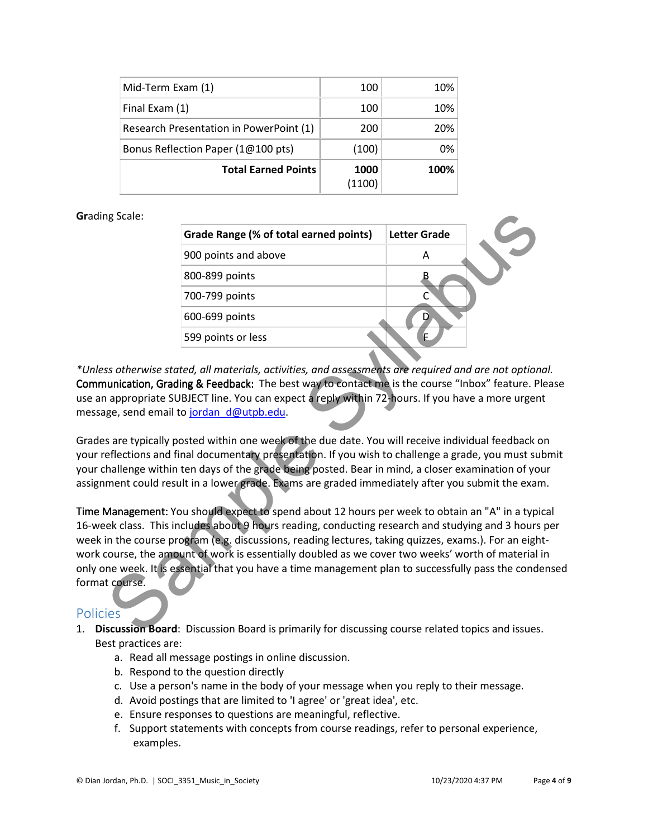| Mid-Term Exam (1)                       | 100            | 10%  |
|-----------------------------------------|----------------|------|
| Final Exam (1)                          | 100            | 10%  |
| Research Presentation in PowerPoint (1) | 200            | 20%  |
| Bonus Reflection Paper (1@100 pts)      | (100)          | 0%   |
| <b>Total Earned Points</b>              | 1000<br>(1100) | 100% |

#### Grading Scale:

| ng Scale:        |                                                                                                                                                                                                                                                                                                                                     |                     |  |
|------------------|-------------------------------------------------------------------------------------------------------------------------------------------------------------------------------------------------------------------------------------------------------------------------------------------------------------------------------------|---------------------|--|
|                  | Grade Range (% of total earned points)                                                                                                                                                                                                                                                                                              | <b>Letter Grade</b> |  |
|                  | 900 points and above                                                                                                                                                                                                                                                                                                                | A                   |  |
|                  | 800-899 points                                                                                                                                                                                                                                                                                                                      |                     |  |
|                  | 700-799 points                                                                                                                                                                                                                                                                                                                      | C                   |  |
|                  | 600-699 points                                                                                                                                                                                                                                                                                                                      | D.                  |  |
|                  | 599 points or less                                                                                                                                                                                                                                                                                                                  | E.                  |  |
|                  |                                                                                                                                                                                                                                                                                                                                     |                     |  |
|                  | ss otherwise stated, all materials, activities, and assessments are required and are not option<br>unication, Grading & Feedback: The best way to contact me is the course "Inbox" feature. P<br>appropriate SUBJECT line. You can expect a reply within 72-hours. If you have a more urgen<br>ge, send email to jordan d@utpb.edu. |                     |  |
|                  | s are typically posted within one week of the due date. You will receive individual feedback o<br>eflections and final documentary presentation. If you wish to challenge a grade, you must su                                                                                                                                      |                     |  |
|                  | hallenge within ten days of the grade being posted. Bear in mind, a closer examination of yo<br>ment could result in a lower grade. Exams are graded immediately after you submit the exar                                                                                                                                          |                     |  |
|                  | Management: You should expect to spend about 12 hours per week to obtain an "A" in a typi<br>ek class. This includes about 9 hours reading, conducting research and studying and 3 hours                                                                                                                                            |                     |  |
|                  | in the course program (e.g. discussions, reading lectures, taking quizzes, exams.). For an eigh<br>course, the amount of work is essentially doubled as we cover two weeks' worth of material                                                                                                                                       |                     |  |
| t course.<br>ies | ne week. It is essential that you have a time management plan to successfully pass the conde                                                                                                                                                                                                                                        |                     |  |
|                  | scussion Board: Discussion Board is primarily for discussing course related topics and issues                                                                                                                                                                                                                                       |                     |  |

\*Unless otherwise stated, all materials, activities, and assessments are required and are not optional. Communication, Grading & Feedback: The best way to contact me is the course "Inbox" feature. Please use an appropriate SUBJECT line. You can expect a reply within 72-hours. If you have a more urgent message, send email to jordan d@utpb.edu.

Grades are typically posted within one week of the due date. You will receive individual feedback on your reflections and final documentary presentation. If you wish to challenge a grade, you must submit your challenge within ten days of the grade being posted. Bear in mind, a closer examination of your assignment could result in a lower grade. Exams are graded immediately after you submit the exam.

Time Management: You should expect to spend about 12 hours per week to obtain an "A" in a typical 16-week class. This includes about 9 hours reading, conducting research and studying and 3 hours per week in the course program (e.g. discussions, reading lectures, taking quizzes, exams.). For an eightwork course, the amount of work is essentially doubled as we cover two weeks' worth of material in only one week. It is essential that you have a time management plan to successfully pass the condensed format course.

### **Policies**

- 1. Discussion Board: Discussion Board is primarily for discussing course related topics and issues. Best practices are:
	- a. Read all message postings in online discussion.
	- b. Respond to the question directly
	- c. Use a person's name in the body of your message when you reply to their message.
	- d. Avoid postings that are limited to 'I agree' or 'great idea', etc.
	- e. Ensure responses to questions are meaningful, reflective.
	- f. Support statements with concepts from course readings, refer to personal experience, examples.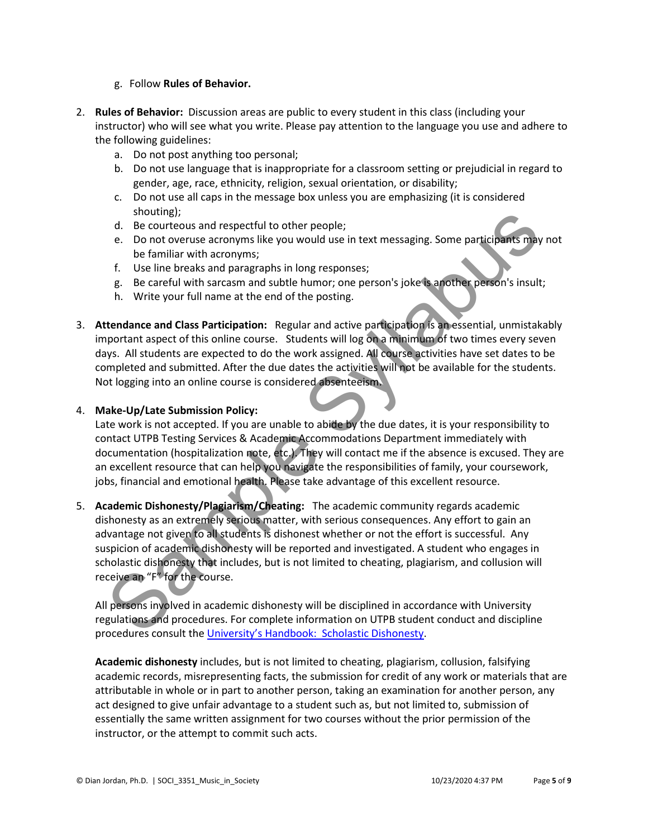#### g. Follow Rules of Behavior.

- 2. Rules of Behavior: Discussion areas are public to every student in this class (including your instructor) who will see what you write. Please pay attention to the language you use and adhere to the following guidelines:
	- a. Do not post anything too personal;
	- b. Do not use language that is inappropriate for a classroom setting or prejudicial in regard to gender, age, race, ethnicity, religion, sexual orientation, or disability;
	- c. Do not use all caps in the message box unless you are emphasizing (it is considered shouting);
	- d. Be courteous and respectful to other people;
	- e. Do not overuse acronyms like you would use in text messaging. Some participants may not be familiar with acronyms;
	- f. Use line breaks and paragraphs in long responses;
	- g. Be careful with sarcasm and subtle humor; one person's joke is another person's insult;
	- h. Write your full name at the end of the posting.
- 3. Attendance and Class Participation: Regular and active participation is an essential, unmistakably important aspect of this online course. Students will log on a minimum of two times every seven days. All students are expected to do the work assigned. All course activities have set dates to be completed and submitted. After the due dates the activities will not be available for the students. Not logging into an online course is considered absenteeism.

#### 4. Make-Up/Late Submission Policy:

Late work is not accepted. If you are unable to abide by the due dates, it is your responsibility to contact UTPB Testing Services & Academic Accommodations Department immediately with documentation (hospitalization note, etc.). They will contact me if the absence is excused. They are an excellent resource that can help you navigate the responsibilities of family, your coursework, jobs, financial and emotional health. Please take advantage of this excellent resource.

5. Academic Dishonesty/Plagiarism/Cheating: The academic community regards academic dishonesty as an extremely serious matter, with serious consequences. Any effort to gain an advantage not given to all students is dishonest whether or not the effort is successful. Any suspicion of academic dishonesty will be reported and investigated. A student who engages in scholastic dishonesty that includes, but is not limited to cheating, plagiarism, and collusion will receive an "F" for the course. solution and respectful to other people;<br>
Le Courteous and respectful to other people;<br>
Le Courteous and respectful to other people;<br>
Le Courteous accompussible you would use in text messaging. Some participants may<br>
f. Us

All persons involved in academic dishonesty will be disciplined in accordance with University regulations and procedures. For complete information on UTPB student conduct and discipline procedures consult the University's Handbook: Scholastic Dishonesty.

Academic dishonesty includes, but is not limited to cheating, plagiarism, collusion, falsifying academic records, misrepresenting facts, the submission for credit of any work or materials that are attributable in whole or in part to another person, taking an examination for another person, any act designed to give unfair advantage to a student such as, but not limited to, submission of essentially the same written assignment for two courses without the prior permission of the instructor, or the attempt to commit such acts.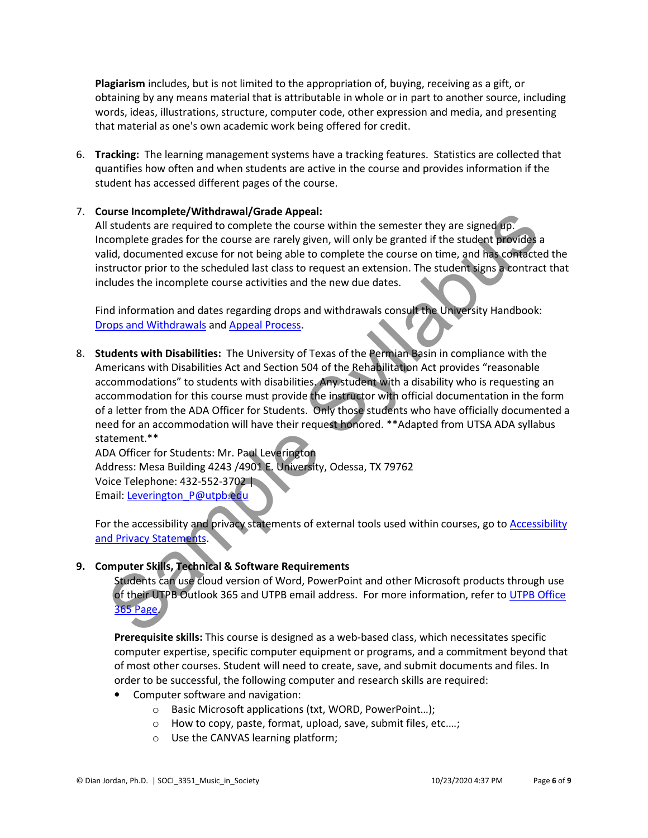Plagiarism includes, but is not limited to the appropriation of, buying, receiving as a gift, or obtaining by any means material that is attributable in whole or in part to another source, including words, ideas, illustrations, structure, computer code, other expression and media, and presenting that material as one's own academic work being offered for credit.

6. Tracking: The learning management systems have a tracking features. Statistics are collected that quantifies how often and when students are active in the course and provides information if the student has accessed different pages of the course.

#### 7. Course Incomplete/Withdrawal/Grade Appeal:

All students are required to complete the course within the semester they are signed up. Incomplete grades for the course are rarely given, will only be granted if the student provides a valid, documented excuse for not being able to complete the course on time, and has contacted the instructor prior to the scheduled last class to request an extension. The student signs a contract that includes the incomplete course activities and the new due dates.

Find information and dates regarding drops and withdrawals consult the University Handbook: Drops and Withdrawals and Appeal Process.

8. Students with Disabilities: The University of Texas of the Permian Basin in compliance with the Americans with Disabilities Act and Section 504 of the Rehabilitation Act provides "reasonable accommodations" to students with disabilities. Any student with a disability who is requesting an accommodation for this course must provide the instructor with official documentation in the form of a letter from the ADA Officer for Students. Only those students who have officially documented a need for an accommodation will have their request honored. \*\* Adapted from UTSA ADA syllabus statement.\*\* Distribute in Consideration and Maria Search and Maria Search and Maria Search and Maria Search and Maria Search and Maria Search and Maria Search and Maria Search and Maria Search and Maria Search and Maria Search and Mar

ADA Officer for Students: Mr. Paul Leverington Address: Mesa Building 4243 /4901 E. University, Odessa, TX 79762 Voice Telephone: 432-552-3702 | Email: Leverington\_P@utpb.edu

For the accessibility and privacy statements of external tools used within courses, go to Accessibility and Privacy Statements.

#### 9. Computer Skills, Technical & Software Requirements

Students can use cloud version of Word, PowerPoint and other Microsoft products through use of their UTPB Outlook 365 and UTPB email address. For more information, refer to UTPB Office 365 Page.

Prerequisite skills: This course is designed as a web-based class, which necessitates specific computer expertise, specific computer equipment or programs, and a commitment beyond that of most other courses. Student will need to create, save, and submit documents and files. In order to be successful, the following computer and research skills are required:

- Computer software and navigation:
	- o Basic Microsoft applications (txt, WORD, PowerPoint…);
	- o How to copy, paste, format, upload, save, submit files, etc.…;
	- o Use the CANVAS learning platform;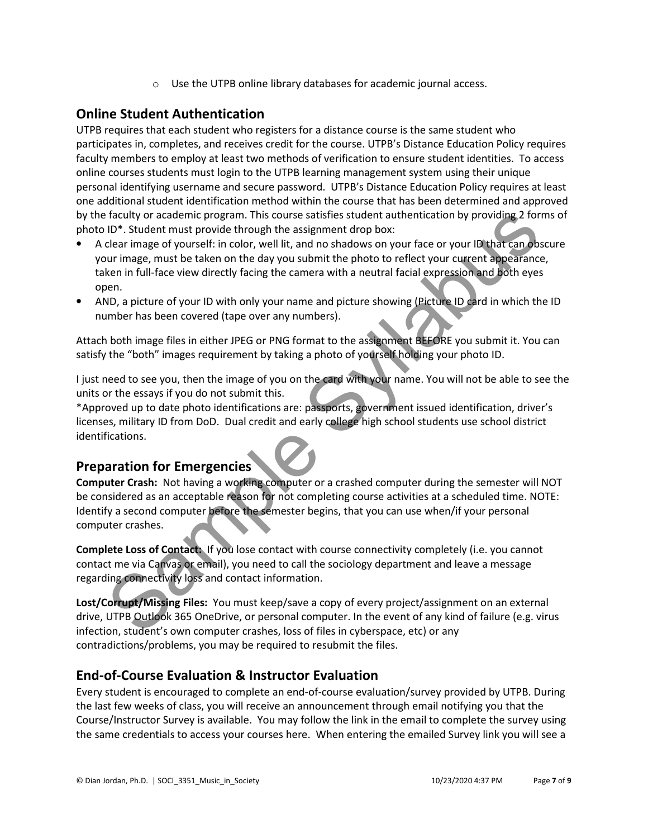o Use the UTPB online library databases for academic journal access.

# Online Student Authentication

UTPB requires that each student who registers for a distance course is the same student who participates in, completes, and receives credit for the course. UTPB's Distance Education Policy requires faculty members to employ at least two methods of verification to ensure student identities. To access online courses students must login to the UTPB learning management system using their unique personal identifying username and secure password. UTPB's Distance Education Policy requires at least one additional student identification method within the course that has been determined and approved by the faculty or academic program. This course satisfies student authentication by providing 2 forms of photo ID\*. Student must provide through the assignment drop box:

- A clear image of yourself: in color, well lit, and no shadows on your face or your ID that can obscure your image, must be taken on the day you submit the photo to reflect your current appearance, taken in full-face view directly facing the camera with a neutral facial expression and both eyes open. I factulty or academic program. This course satisfies student authentication by providing 2 for<br>
10<sup>-1</sup>. Student must provide through the assignment drop box:<br>
10<sup>-1</sup>. Student must provide through the saignment drop box:<br>
- AND, a picture of your ID with only your name and picture showing (Picture ID card in which the ID number has been covered (tape over any numbers).

Attach both image files in either JPEG or PNG format to the assignment BEFORE you submit it. You can satisfy the "both" images requirement by taking a photo of yourself holding your photo ID.

I just need to see you, then the image of you on the card with your name. You will not be able to see the units or the essays if you do not submit this.

\*Approved up to date photo identifications are: passports, government issued identification, driver's licenses, military ID from DoD. Dual credit and early college high school students use school district identifications.

# Preparation for Emergencies

Computer Crash: Not having a working computer or a crashed computer during the semester will NOT be considered as an acceptable reason for not completing course activities at a scheduled time. NOTE: Identify a second computer before the semester begins, that you can use when/if your personal computer crashes.

Complete Loss of Contact: If you lose contact with course connectivity completely (i.e. you cannot contact me via Canvas or email), you need to call the sociology department and leave a message regarding connectivity loss and contact information.

Lost/Corrupt/Missing Files: You must keep/save a copy of every project/assignment on an external drive, UTPB Outlook 365 OneDrive, or personal computer. In the event of any kind of failure (e.g. virus infection, student's own computer crashes, loss of files in cyberspace, etc) or any contradictions/problems, you may be required to resubmit the files.

# End-of-Course Evaluation & Instructor Evaluation

Every student is encouraged to complete an end-of-course evaluation/survey provided by UTPB. During the last few weeks of class, you will receive an announcement through email notifying you that the Course/Instructor Survey is available. You may follow the link in the email to complete the survey using the same credentials to access your courses here. When entering the emailed Survey link you will see a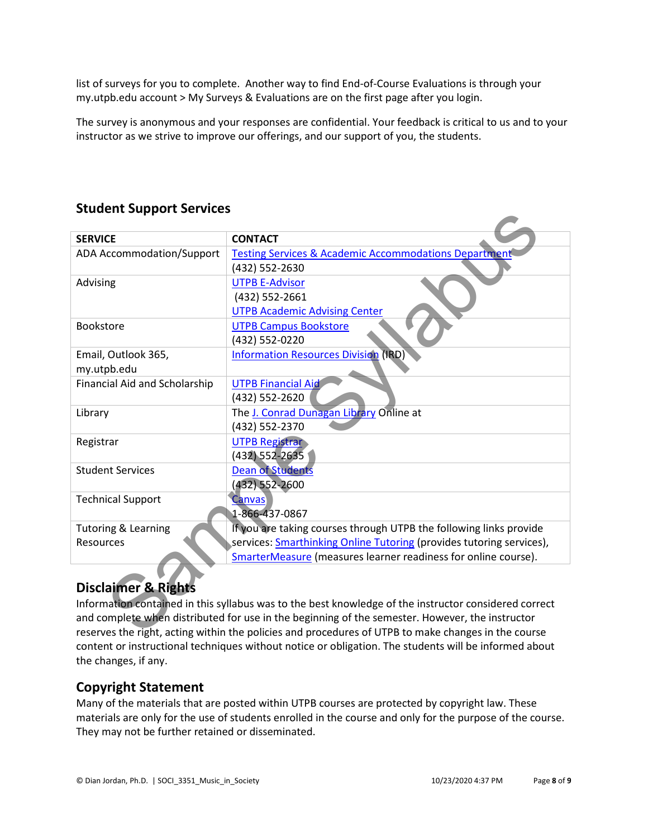list of surveys for you to complete. Another way to find End-of-Course Evaluations is through your my.utpb.edu account > My Surveys & Evaluations are on the first page after you login.

The survey is anonymous and your responses are confidential. Your feedback is critical to us and to your instructor as we strive to improve our offerings, and our support of you, the students.

| Staacht Sapport Scrivices                                                                             |                                                                                                     |  |  |
|-------------------------------------------------------------------------------------------------------|-----------------------------------------------------------------------------------------------------|--|--|
| <b>SERVICE</b>                                                                                        | <b>CONTACT</b>                                                                                      |  |  |
| <b>ADA Accommodation/Support</b>                                                                      | <b>Testing Services &amp; Academic Accommodations Department</b>                                    |  |  |
|                                                                                                       | (432) 552-2630                                                                                      |  |  |
| Advising                                                                                              | <b>UTPB E-Advisor</b>                                                                               |  |  |
|                                                                                                       | (432) 552-2661                                                                                      |  |  |
|                                                                                                       | <b>UTPB Academic Advising Center</b>                                                                |  |  |
| Bookstore                                                                                             | <b>UTPB Campus Bookstore</b>                                                                        |  |  |
|                                                                                                       | (432) 552-0220                                                                                      |  |  |
| Email, Outlook 365,                                                                                   | <b>Information Resources Division (IRD)</b>                                                         |  |  |
| my.utpb.edu                                                                                           |                                                                                                     |  |  |
| Financial Aid and Scholarship                                                                         | <b>UTPB Financial Aid</b>                                                                           |  |  |
|                                                                                                       | (432) 552-2620                                                                                      |  |  |
| Library                                                                                               | The J. Conrad Dunagan Library Online at                                                             |  |  |
|                                                                                                       | (432) 552-2370                                                                                      |  |  |
| Registrar                                                                                             | <b>UTPB Registrar</b>                                                                               |  |  |
| <b>Student Services</b>                                                                               | (432) 552-2635<br><b>Dean of Students</b>                                                           |  |  |
|                                                                                                       | (432) 552-2600                                                                                      |  |  |
| <b>Technical Support</b>                                                                              | <b>Canvas</b>                                                                                       |  |  |
|                                                                                                       | 1-866-437-0867                                                                                      |  |  |
| <b>Tutoring &amp; Learning</b>                                                                        | If you are taking courses through UTPB the following links provide                                  |  |  |
| Resources                                                                                             | services: Smarthinking Online Tutoring (provides tutoring services),                                |  |  |
|                                                                                                       | SmarterMeasure (measures learner readiness for online course).                                      |  |  |
|                                                                                                       |                                                                                                     |  |  |
| <b>Disclaimer &amp; Rights</b>                                                                        |                                                                                                     |  |  |
| Information contained in this syllabus was to the best knowledge of the instructor considered correct |                                                                                                     |  |  |
| and complete when distributed for use in the beginning of the semester. However, the instructor       |                                                                                                     |  |  |
|                                                                                                       | reserves the right, acting within the policies and procedures of UTPB to make changes in the course |  |  |

# Student Support Services

# Disclaimer & Rights

Information contained in this syllabus was to the best knowledge of the instructor considered correct and complete when distributed for use in the beginning of the semester. However, the instructor reserves the right, acting within the policies and procedures of UTPB to make changes in the course content or instructional techniques without notice or obligation. The students will be informed about the changes, if any.

# Copyright Statement

Many of the materials that are posted within UTPB courses are protected by copyright law. These materials are only for the use of students enrolled in the course and only for the purpose of the course. They may not be further retained or disseminated.